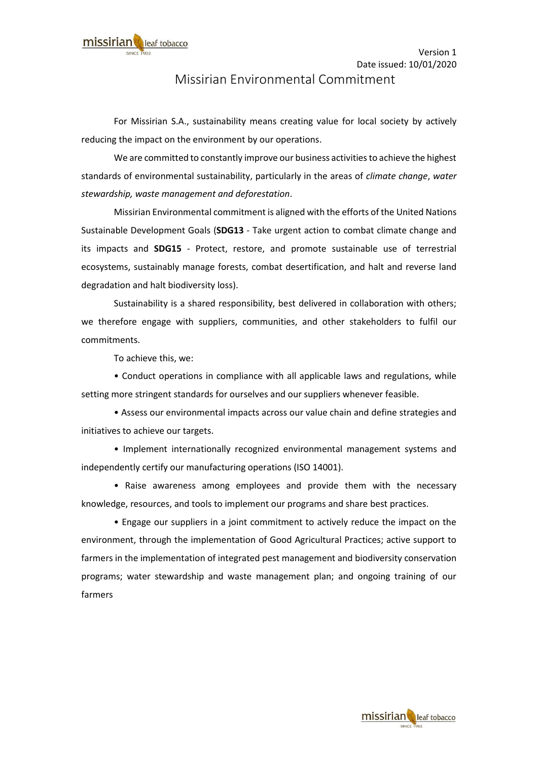## Missirian Environmental Commitment

For Missirian S.A., sustainability means creating value for local society by actively reducing the impact on the environment by our operations.

We are committed to constantly improve our business activities to achieve the highest standards of environmental sustainability, particularly in the areas of *climate change*, *water stewardship, waste management and deforestation*.

Missirian Environmental commitment is aligned with the efforts of the United Nations Sustainable Development Goals (**SDG13** - Take urgent action to combat climate change and its impacts and **SDG15** - Protect, restore, and promote sustainable use of terrestrial ecosystems, sustainably manage forests, combat desertification, and halt and reverse land degradation and halt biodiversity loss).

Sustainability is a shared responsibility, best delivered in collaboration with others; we therefore engage with suppliers, communities, and other stakeholders to fulfil our commitments.

To achieve this, we:

• Conduct operations in compliance with all applicable laws and regulations, while setting more stringent standards for ourselves and our suppliers whenever feasible.

• Assess our environmental impacts across our value chain and define strategies and initiatives to achieve our targets.

• Implement internationally recognized environmental management systems and independently certify our manufacturing operations (ISO 14001).

• Raise awareness among employees and provide them with the necessary knowledge, resources, and tools to implement our programs and share best practices.

• Engage our suppliers in a joint commitment to actively reduce the impact on the environment, through the implementation of Good Agricultural Practices; active support to farmers in the implementation of integrated pest management and biodiversity conservation programs; water stewardship and waste management plan; and ongoing training of our farmers